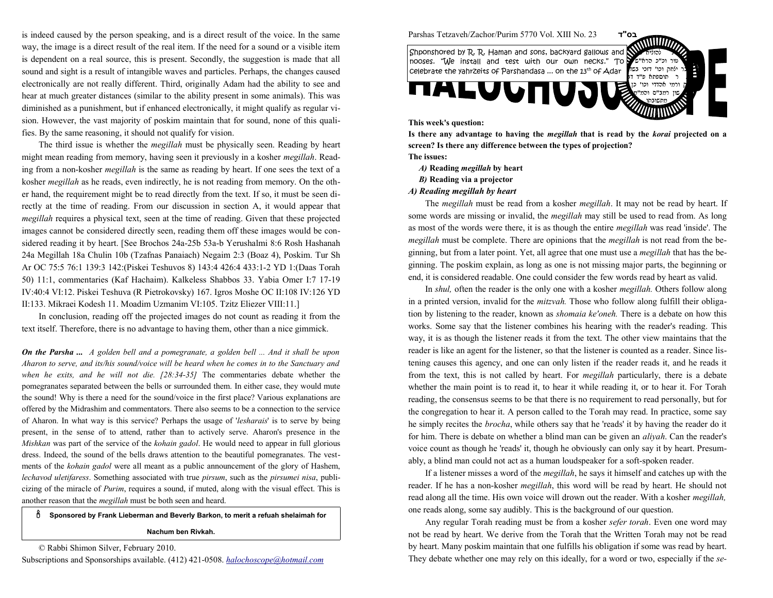is indeed caused by the person speaking, and is a direct result of the voice. In the same way, the image is a direct result of the real item. If the need for a sound or a visible item is dependent on a real source, this is present. Secondly, the suggestion is made that allsound and sight is a result of intangible waves and particles. Perhaps, the changes caused electronically are not really different. Third, originally Adam had the ability to see and hear at much greater distances (similar to the ability present in some animals). This was diminished as a punishment, but if enhanced electronically, it might qualify as regular vision. However, the vast majority of poskim maintain that for sound, none of this qualifies. By the same reasoning, it should not qualify for vision.

The third issue is whether the megillah must be physically seen. Reading by heartmight mean reading from memory, having seen it previously in a kosher megillah. Reading from a non-kosher megillah is the same as reading by heart. If one sees the text of akosher megillah as he reads, even indirectly, he is not reading from memory. On the other hand, the requirement might be to read directly from the text. If so, it must be seen directly at the time of reading. From our discussion in section A, it would appear thatmegillah requires a physical text, seen at the time of reading. Given that these projected images cannot be considered directly seen, reading them off these images would be considered reading it by heart. [See Brochos 24a-25b 53a-b Yerushalmi 8:6 Rosh Hashanah 24a Megillah 18a Chulin 10b (Tzafnas Panaiach) Negaim 2:3 (Boaz 4), Poskim. Tur Sh Ar OC 75:5 76:1 139:3 142:(Piskei Teshuvos 8) 143:4 426:4 433:1-2 YD 1:(Daas Torah 50) 11:1, commentaries (Kaf Hachaim). Kalkeless Shabbos 33. Yabia Omer I:7 17-19 IV:40:4 VI:12. Piskei Teshuva (R Pietrokovsky) 167. Igros Moshe OC II:108 IV:126 YDII:133. Mikraei Kodesh 11. Moadim Uzmanim VI:105. Tzitz Eliezer VIII:11.]

In conclusion, reading off the projected images do not count as reading it from thetext itself. Therefore, there is no advantage to having them, other than a nice gimmick.

**On the Parsha ...** A golden bell and a pomegranate, a golden bell  $\ldots$  And it shall be upon Aharon to serve, and its/his sound/voice will be heard when he comes in to the Sanctuary andwhen he exits, and he will not die. [28:34-35] The commentaries debate whether the pomegranates separated between the bells or surrounded them. In either case, they would mute the sound! Why is there a need for the sound/voice in the first place? Various explanations are offered by the Midrashim and commentators. There also seems to be a connection to the serviceof Aharon. In what way is this service? Perhaps the usage of 'lesharais' is to serve by being present, in the sense of to attend, rather than to actively serve. Aharon's presence in the Mishkan was part of the service of the kohain gadol. He would need to appear in full gloriousdress. Indeed, the sound of the bells draws attention to the beautiful pomegranates. The vestments of the kohain gadol were all meant as a public announcement of the glory of Hashem,lechavod uletifaress. Something associated with true pirsum, such as the pirsumei nisa, publicizing of the miracle of Purim, requires a sound, if muted, along with the visual effect. This isanother reason that the megillah must be both seen and heard.

## ô Sponsored by Frank Lieberman and Beverly Barkon, to merit a refuah shelaimah for Nachum ben Rivkah.

© Rabbi Shimon Silver, February 2010.



Parshas Tetzaveh/Zachor/Purim 5770 Vol. XIII No. 23

 $\epsilon$  this case  $\epsilon$ טור וכ"כ הרא"ש ילחה וכו' דזכי בשל ק וכו' דזכי בשו<del>ן</del> celebrate the yahrzeits of Parshandasa ... on the 13<sup>th</sup> of Adar<br>חוספתא פי"ד די ורמי אהדדי וכו' רמצ"ס מתשובתו Shponshored by R. R. Haman and sons, backyard gallows and noses. "We install and test with our own necks." To celebrate the yahrzeits of Parshandasa ... on the 13<sup>th</sup> of Adar 13th of 15th opposite celebrate the yahrzeits o

בס"ד

## This week's question:

Is there any advantage to having the megillah that is read by the korai projected on a screen? Is there any difference between the types of projection?

The issues:

- *A)* Reading *megillah* by heart
- B) Reading via a projector
- A) Reading megillah by heart

The megillah must be read from a kosher megillah. It may not be read by heart. If some words are missing or invalid, the *megillah* may still be used to read from. As long as most of the words were there, it is as though the entire *megillah* was read 'inside'. The *megillah* must be complete. There are opinions that the *megillah* is not read from the beginning, but from a later point. Yet, all agree that one must use a megillah that has the beginning. The poskim explain, as long as one is not missing major parts, the beginning orend, it is considered readable. One could consider the few words read by heart as valid.

In shul, often the reader is the only one with a kosher megillah. Others follow alongin a printed version, invalid for the *mitzvah*. Those who follow along fulfill their obligation by listening to the reader, known as shomaia ke'oneh. There is a debate on how this works. Some say that the listener combines his hearing with the reader's reading. This way, it is as though the listener reads it from the text. The other view maintains that the reader is like an agent for the listener, so that the listener is counted as a reader. Since listening causes this agency, and one can only listen if the reader reads it, and he reads itfrom the text, this is not called by heart. For megillah particularly, there is a debate whether the main point is to read it, to hear it while reading it, or to hear it. For Torah reading, the consensus seems to be that there is no requirement to read personally, but forthe congregation to hear it. A person called to the Torah may read. In practice, some sayhe simply recites the *brocha*, while others say that he 'reads' it by having the reader do it for him. There is debate on whether a blind man can be given an aliyah. Can the reader'svoice count as though he 'reads' it, though he obviously can only say it by heart. Presumably, a blind man could not act as a human loudspeaker for a soft-spoken reader.

If a listener misses a word of the megillah, he says it himself and catches up with thereader. If he has a non-kosher megillah, this word will be read by heart. He should not read along all the time. His own voice will drown out the reader. With a kosher megillah,one reads along, some say audibly. This is the background of our question.

Any regular Torah reading must be from a kosher sefer torah. Even one word may not be read by heart. We derive from the Torah that the Written Torah may not be read by heart. Many poskim maintain that one fulfills his obligation if some was read by heart.They debate whether one may rely on this ideally, for a word or two, especially if the se